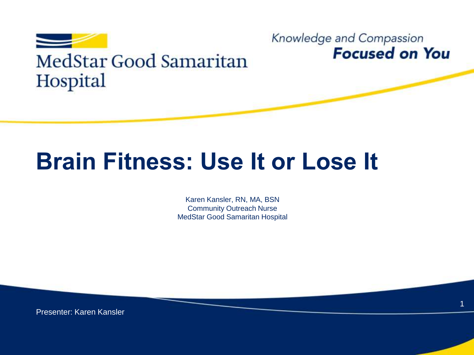

#### Knowledge and Compassion **Focused on You**

1

## **Brain Fitness: Use It or Lose It**

Karen Kansler, RN, MA, BSN Community Outreach Nurse MedStar Good Samaritan Hospital

Presenter: Karen Kansler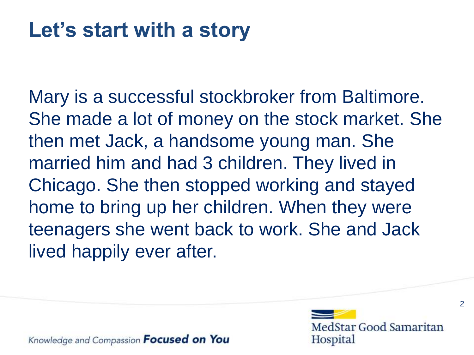#### **Let's start with a story**

Mary is a successful stockbroker from Baltimore. She made a lot of money on the stock market. She then met Jack, a handsome young man. She married him and had 3 children. They lived in Chicago. She then stopped working and stayed home to bring up her children. When they were teenagers she went back to work. She and Jack lived happily ever after.

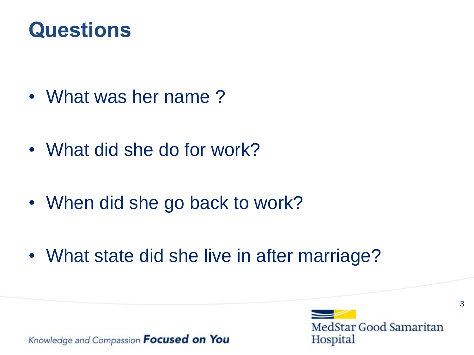#### **Questions**

- What was her name ?
- What did she do for work?
- When did she go back to work?
- What state did she live in after marriage?



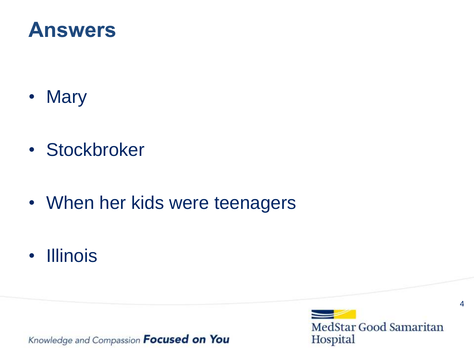#### **Answers**

- Mary
- Stockbroker
- When her kids were teenagers
- Illinois

Knowledge and Compassion Focused on You

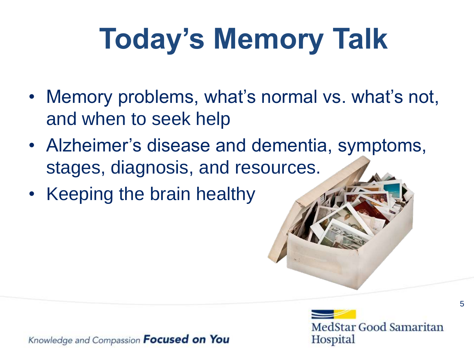# **Today's Memory Talk**

- Memory problems, what's normal vs. what's not, and when to seek help
- Alzheimer's disease and dementia, symptoms, stages, diagnosis, and resources.
- Keeping the brain healthy



5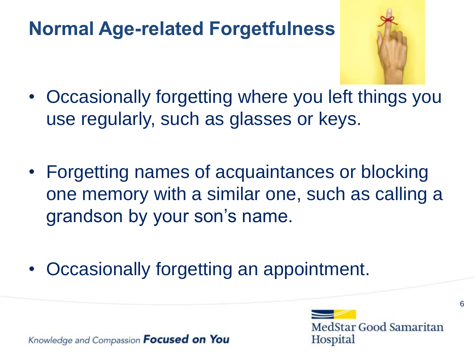#### **Normal Age-related Forgetfulness**



- Occasionally forgetting where you left things you use regularly, such as glasses or keys.
- Forgetting names of acquaintances or blocking one memory with a similar one, such as calling a grandson by your son's name.
- Occasionally forgetting an appointment.

Knowledge and Compassion **Focused on You** 

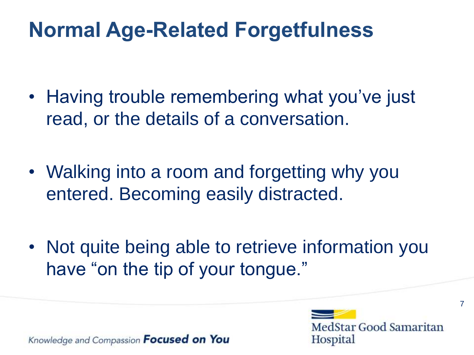#### **Normal Age-Related Forgetfulness**

- Having trouble remembering what you've just read, or the details of a conversation.
- Walking into a room and forgetting why you entered. Becoming easily distracted.
- Not quite being able to retrieve information you have "on the tip of your tongue."

Knowledge and Compassion **Focused on You** 

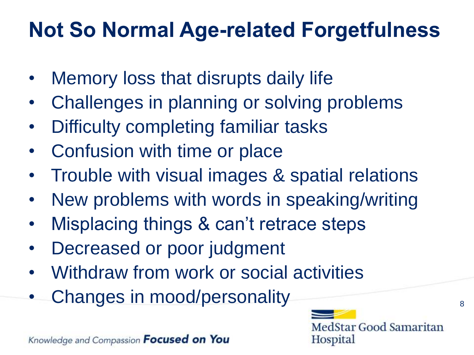## **Not So Normal Age-related Forgetfulness**

- Memory loss that disrupts daily life
- Challenges in planning or solving problems
- Difficulty completing familiar tasks
- Confusion with time or place
- Trouble with visual images & spatial relations
- New problems with words in speaking/writing
- Misplacing things & can't retrace steps
- Decreased or poor judgment
- Withdraw from work or social activities
- Changes in mood/personality and the set of the set of the set of the set of the set of the set of  $\mathbf{S}$

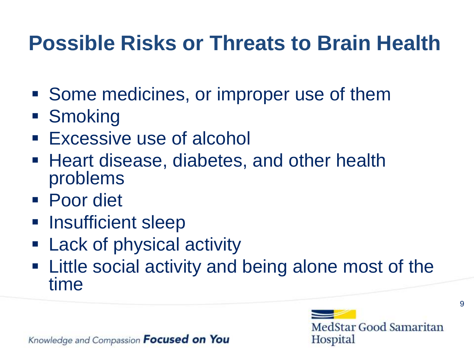#### **Possible Risks or Threats to Brain Health**

- Some medicines, or improper use of them
- **Smoking**
- **Excessive use of alcohol**
- Heart disease, diabetes, and other health problems
- Poor diet
- **Insufficient sleep**
- Lack of physical activity
- Little social activity and being alone most of the time

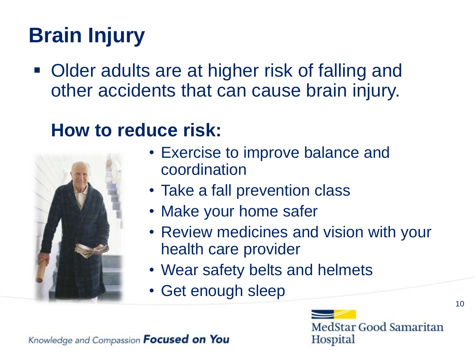## **Brain Injury**

■ Older adults are at higher risk of falling and other accidents that can cause brain injury.

#### **How to reduce risk:**



- Exercise to improve balance and coordination
- Take a fall prevention class
- Make your home safer
- Review medicines and vision with your health care provider
- Wear safety belts and helmets
- Get enough sleep

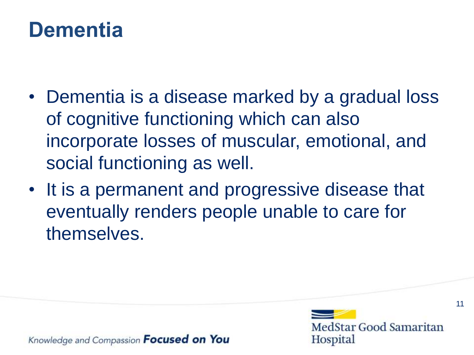#### **Dementia**

- Dementia is a disease marked by a gradual loss of cognitive functioning which can also incorporate losses of muscular, emotional, and social functioning as well.
- It is a permanent and progressive disease that eventually renders people unable to care for themselves.



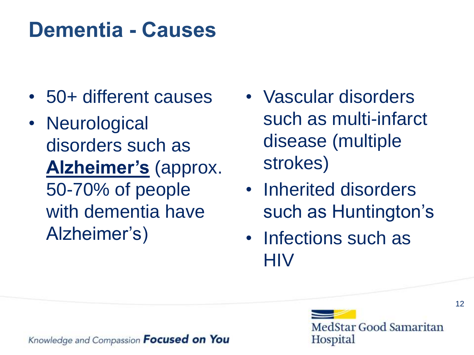#### **Dementia - Causes**

- 50+ different causes
- Neurological disorders such as **Alzheimer's** (approx. 50-70% of people with dementia have Alzheimer's)
- Vascular disorders such as multi-infarct disease (multiple strokes)
- Inherited disorders such as Huntington's
- Infections such as **HIV**

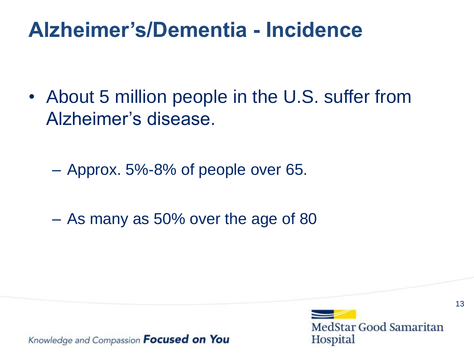#### **Alzheimer's/Dementia - Incidence**

• About 5 million people in the U.S. suffer from Alzheimer's disease.

– Approx. 5%-8% of people over 65.

– As many as 50% over the age of 80



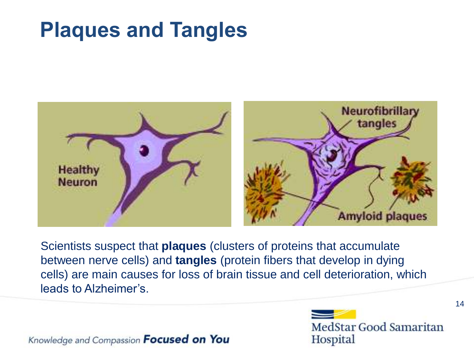#### **Plaques and Tangles**



Scientists suspect that **plaques** (clusters of proteins that accumulate between nerve cells) and **tangles** (protein fibers that develop in dying cells) are main causes for loss of brain tissue and cell deterioration, which leads to Alzheimer's.

Knowledge and Compassion Focused on You

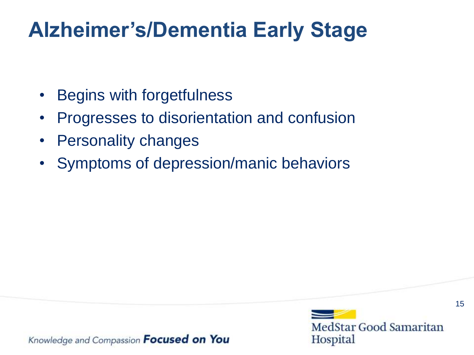#### **Alzheimer's/Dementia Early Stage**

- Begins with forgetfulness
- Progresses to disorientation and confusion
- Personality changes
- Symptoms of depression/manic behaviors

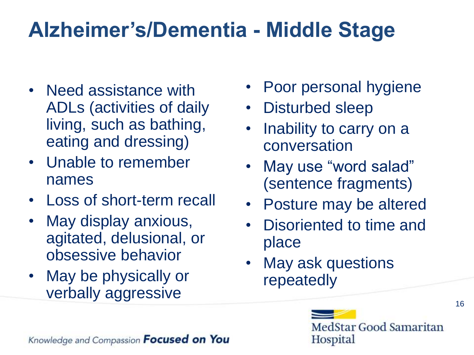## **Alzheimer's/Dementia - Middle Stage**

- Need assistance with ADLs (activities of daily living, such as bathing, eating and dressing)
- Unable to remember names
- Loss of short-term recall
- May display anxious, agitated, delusional, or obsessive behavior
- May be physically or verbally aggressive
- Poor personal hygiene
- Disturbed sleep
- Inability to carry on a conversation
- May use "word salad" (sentence fragments)
- Posture may be altered
- Disoriented to time and place
- May ask questions repeatedly

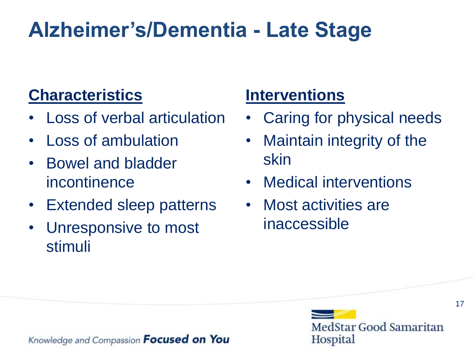## **Alzheimer's/Dementia - Late Stage**

#### **Characteristics**

- Loss of verbal articulation
- Loss of ambulation
- Bowel and bladder incontinence
- Extended sleep patterns
- Unresponsive to most stimuli

#### **Interventions**

- Caring for physical needs
- Maintain integrity of the skin
- Medical interventions
- Most activities are inaccessible



Knowledge and Compassion **Focused on You**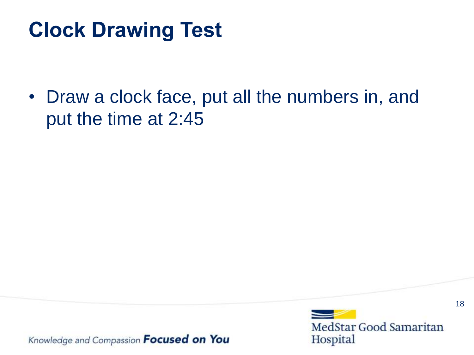#### **Clock Drawing Test**

• Draw a clock face, put all the numbers in, and put the time at 2:45

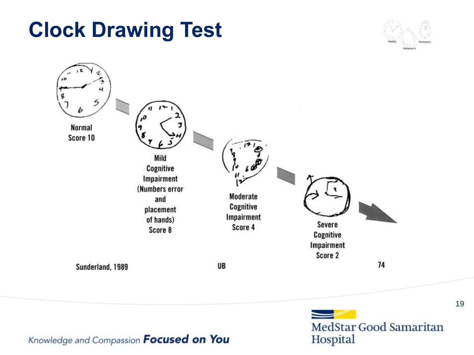**Normal** Score 10

 $\overline{10}$ 

Mild Cognitive Impairment (Numbers error and placement of hands) Score 8

Sunderland, 1989

UB

Moderate

Cognitive Impairment Score 4

Impairment Score 2

Severe

Cognitive

MedStar Good Samaritan Hospital

74

Knowledge and Compassion Focused on You

# **Clock Drawing Test**

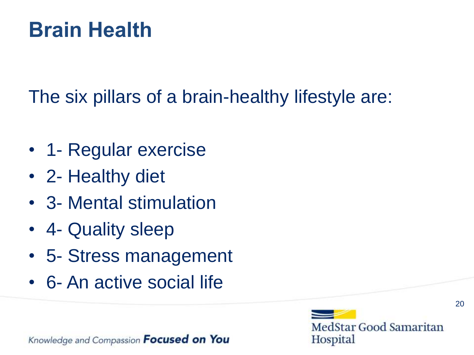#### **Brain Health**

The six pillars of a brain-healthy lifestyle are:

- 1- Regular exercise
- 2- Healthy diet
- 3- Mental stimulation
- 4- Quality sleep
- 5- Stress management
- 6- An active social life



20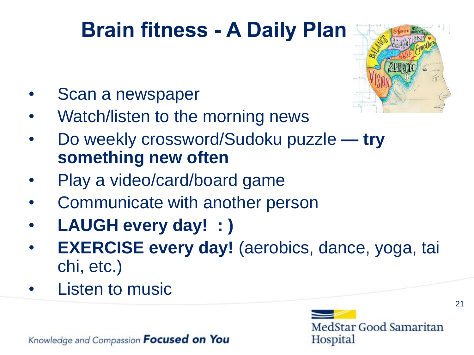## **Brain fitness - A Daily Plan**



- Scan a newspaper
- Watch/listen to the morning news
- Do weekly crossword/Sudoku puzzle **— try something new often**
- Play a video/card/board game
- Communicate with another person
- **LAUGH every day! : )**
- **EXERCISE every day!** (aerobics, dance, yoga, tai chi, etc.)
- **Listen to music**



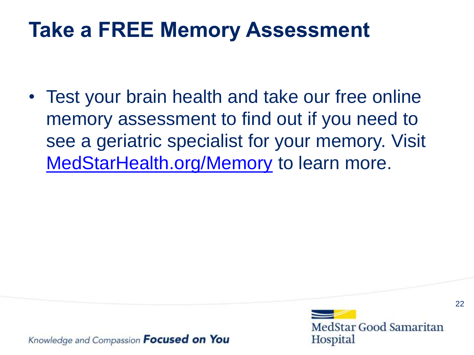#### **Take a FREE Memory Assessment**

• Test your brain health and take our free online memory assessment to find out if you need to see a geriatric specialist for your memory. Visit [MedStarHealth.org/Memory](http://www.medstarhealth.org/memory) to learn more.